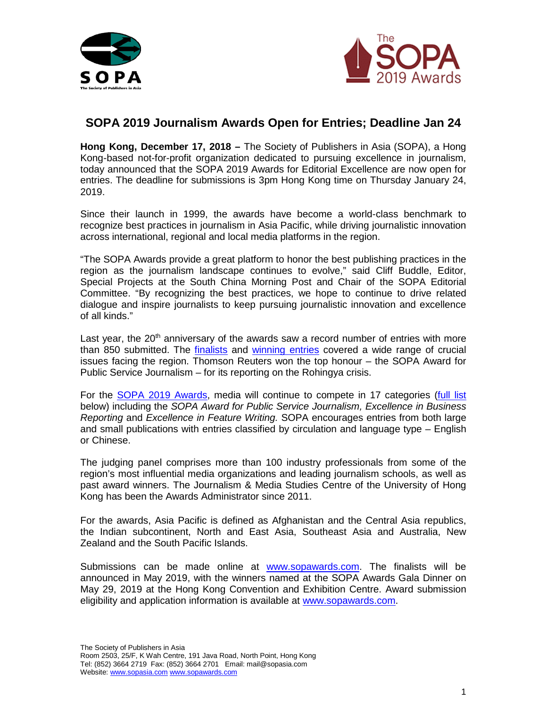



## **SOPA 2019 Journalism Awards Open for Entries; Deadline Jan 24**

**Hong Kong, December 17, 2018 –** The Society of Publishers in Asia (SOPA), a Hong Kong-based not-for-profit organization dedicated to pursuing excellence in journalism, today announced that the SOPA 2019 Awards for Editorial Excellence are now open for entries. The deadline for submissions is 3pm Hong Kong time on Thursday January 24, 2019.

Since their launch in 1999, the awards have become a world-class benchmark to recognize best practices in journalism in Asia Pacific, while driving journalistic innovation across international, regional and local media platforms in the region.

"The SOPA Awards provide a great platform to honor the best publishing practices in the region as the journalism landscape continues to evolve," said Cliff Buddle, Editor, Special Projects at the South China Morning Post and Chair of the SOPA Editorial Committee. "By recognizing the best practices, we hope to continue to drive related dialogue and inspire journalists to keep pursuing journalistic innovation and excellence of all kinds."

Last year, the  $20<sup>th</sup>$  anniversary of the awards saw a record number of entries with more than 850 submitted. The [finalists](https://2018.sopawards.com/awards/awards-finalists/) and [winning entries](https://2018.sopawards.com/awards/award-winners/) covered a wide range of crucial issues facing the region. Thomson Reuters won the top honour – the SOPA Award for Public Service Journalism – for its reporting on the Rohingya crisis.

For the [SOPA 2019](http://www.sopawards.com/) Awards, media will continue to compete in 17 categories [\(full list](http://www.sopawards.com/awards/award-categories/) below) including the *SOPA Award for Public Service Journalism, Excellence in Business Reporting* and *Excellence in Feature Writing.* SOPA encourages entries from both large and small publications with entries classified by circulation and language type – English or Chinese.

The judging panel comprises more than 100 industry professionals from some of the region's most influential media organizations and leading journalism schools, as well as past award winners. The Journalism & Media Studies Centre of the University of Hong Kong has been the Awards Administrator since 2011.

For the awards, Asia Pacific is defined as Afghanistan and the Central Asia republics, the Indian subcontinent, North and East Asia, Southeast Asia and Australia, New Zealand and the South Pacific Islands.

Submissions can be made online at [www.sopawards.com.](http://www.sopawards.com/) The finalists will be announced in May 2019, with the winners named at the SOPA Awards Gala Dinner on May 29, 2019 at the Hong Kong Convention and Exhibition Centre. Award submission eligibility and application information is available at [www.sopawards.com.](http://www.sopawards.com/)